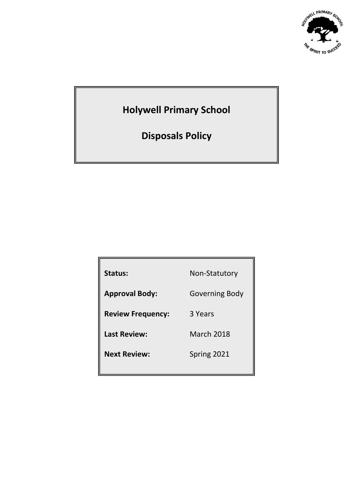

# **Holywell Primary School**

**Disposals Policy**

| Status:                  | Non-Statutory     |
|--------------------------|-------------------|
| <b>Approval Body:</b>    | Governing Body    |
| <b>Review Frequency:</b> | 3 Years           |
| <b>Last Review:</b>      | <b>March 2018</b> |
| <b>Next Review:</b>      | Spring 2021       |
|                          |                   |